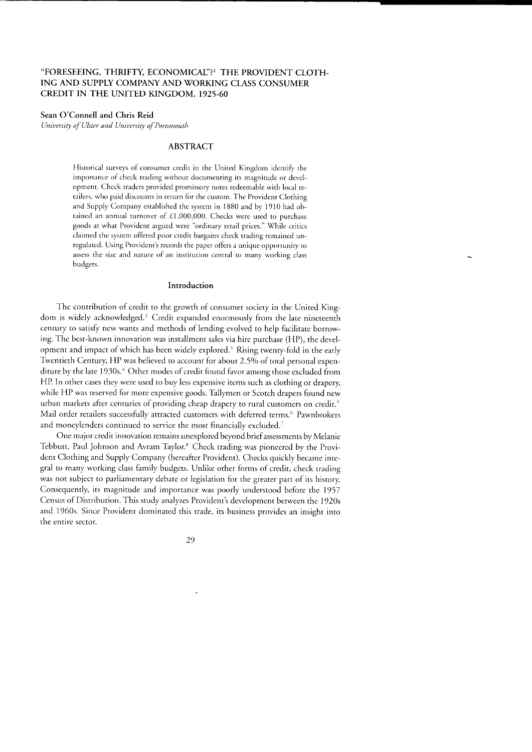## "FORESEEING, THRIFTY, ECONOMICAL"?<sup>1</sup> THE PROVIDENT CLOTH-ING AND SUPPLY COMPANY AND WORKING CLASS CONSUMER CREDIT IN THE UNITED KINGDOM, 1925-60

### Sean O'Connell and Chris Reid

University of Ulster and University of Portsmouth

# ABSTRACT

Historical surveys of consumer credit in the United Kingdom identify the importance of check trading without documenting its magnitude or development. Check traders provided promissory notes redeemable with local retailers, who paid discounts in return for the custom. The Provident Clothing and Supply Company established the system in 1880 and by 1910 had obtained an annual turnover of £1,000,000. Checks were used to purchase goods at what Provident argued were "ordinary retail prices." While critics claimed the system offered poor credit bargains check trading remained unregulated. Using Provident's records the paper offers a unique opportunity to assess the size and nature of an institution central to many working class budgets.

#### Introduction

The contribution of credit to the growth of consumer sociery in the United Kingdom is widely acknowledged.<sup>2</sup> Credit expanded enormously from the late nineteenth century to satisfy new wants and methods of lending evolved to help facilitate borrowing. The best-known innovation was installment sales via hire purchase (HP), the development and impact of which has been widely explored.<sup>3</sup> Rising twenty-fold in the early Twentieth Century, HP was believed to account for about 2.5% of total personal expenditure by the late 1930s." Other modes of credit found favor among those excluded from HP In other cases they were used to buy less expensive items such as clothing or drapery, while HP was reserved for more expensive goods. Tallymen or Scotch drapers found new urban markets after centuries of providing cheap drapery to rural customers on credit.<sup>5</sup> Mail order retailers successfully attracted customers with deferred terms.<sup>6</sup> Pawnbrokers and moneylenders continued to service the most financially excluded.?

One major credit innovation remains unexplored beyond brief assessments by Melanie Tebbutt, Paul Johnson and Avram Taylor.<sup>8</sup> Check trading was pioneered by the Provident Clothing and Supply Company (hereafter Provident). Checks quickly became integral to many working class family budgets. Unlike other forms of credit, check rrading was not subject to parliamentary debate or legislation for the greater parr of irs history. Consequently, its magnitude and imporrance was poorly understood before the 1957 Census of Distribution. This study analyzes Provident's development between the 1920s and 1960s. Since Provident dominated this trade, its business provides an insight into the entire sector.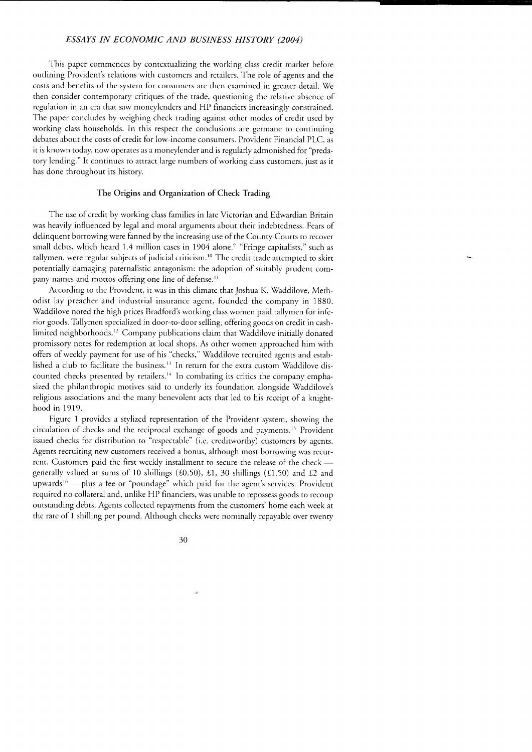This paper commences by contextualizing the working class credit market before outlining Provident's relations with customers and retailers. The role of agents and the costs and benefits of the system for consumers are then examined in greater detail. W'e then consider contemporary critiques of the trade, questioning the relative absence of regulation in an era that saw moneylenders and HP financiers increasingly constrained. The paper concludes by weighing check trading against other modes of credit used by working class households. In this respect the conclusions are germane to continuing debates about the costs of credit for low-income consumers. Provident Financial PLC, as it is known today, now operates as a moneylender and is regularly admonished for "predatory lending." lt continues to attract large numbers of working class customers, jusr as it has done throughout its history.

### The Origins and Organization of Check Trading

The use of credit by working class families in late Victorian and Edwardian Britain was heavily influenced by legal and moral arguments about their indebtedness. Fears of delinquent borrowing were fanned by the increasing use of the Counry Courts ro recover small debts, which heard 1.4 million cases in 1904 alone.<sup>9</sup> "Fringe capitalists," such as tallymen, were regular subjects of judicial criticism.<sup>10</sup> The credit trade attempted to skirt potentially damaging paternalistic antagonism: the adoption of suitably prudent company names and mottos offering one line of defense.<sup>11</sup>

According to the Provident, it was in this climate that Joshua K. Waddilove, Methodist lay preacher and industrial insurance agent, founded the company in 1880. Waddilove noted the high prices Bradford's working class women paid tallymen for inferior goods. Tallymen specialized in door-to-door selling, offering goods on credit in cashlimited neighborhoods.<sup>12</sup> Company publications claim that Waddilove initially donated promissory notes for redemption at local shops. As other women approached him with offers of weekly payment for use of his "checks," Waddilove recruited agents and established a club to facilitate the business.<sup>13</sup> In return for the extra custom Waddilove discounted checks presented by retailers.<sup>14</sup> In combating its critics the company emphasized the philanthropic motives said to underly its foundation alongside Waddilove's religious associations and the many benevolent acts that led to his receipt of a knighthood in 1919.

Figure 1 provides a stylized representation of the Provident system, showing the circulation of checks and the reciprocal exchange of goods and payments.<sup>15</sup> Provident issued checks For distribution to "respectabie" (i.e. credirworthy) cusromers by agents. Agents recruiting new customers received a bonus, although most borrowing was recurrent. Customers paid the first weekly installment to secure the release of the check generally valued at sums of 10 shillings (£0.50), £1, 30 shillings (£1.50) and £2 and upwards<sup>16</sup> —plus a fee or "poundage" which paid for the agent's services. Provident required no collateral and, unlike HP financiers, was unable to repossess goods ro recoup outstanding debts. Agents collected repayments from the customers' home each week at the rate of 1 shilling per pound. Although checks were nominally repayable over twenty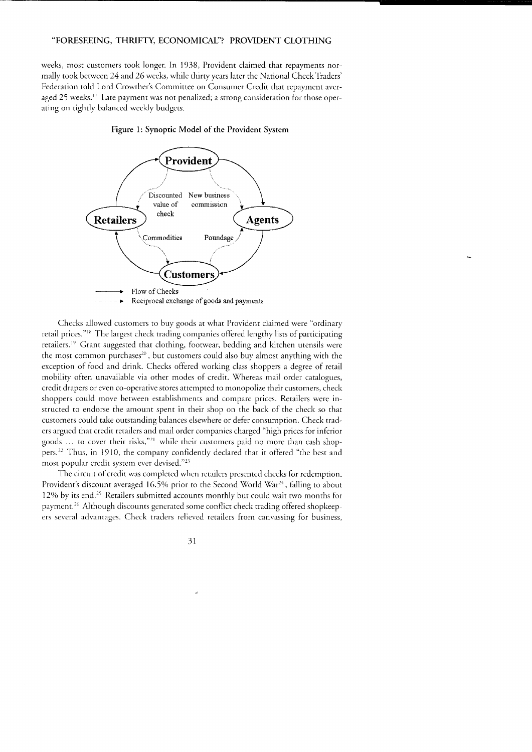weeks, most customers took longer. In 1938, Provident claimed that repayments normally took between 24 and 26 weeks, while thirty years later the National Check Traders' Federation told Lord Crowther's Committee on Consumer Credit that repayment averaged 25 weeks.<sup>17</sup> Late payment was not penalized; a strong consideration for those operating on tightly balanced weekly budgets.

#### Figure 1: Synoptic Model oF the Provident System



Checks allowed customers to buy goods at what Provident claimed were "ordinary retail prices."<sup>18</sup> The largest check trading companies offered lengthy lists of participating retailers.<sup>19</sup> Grant suggested that clothing, footwear, bedding and kitchen utensils were the most common purchases<sup>20</sup>, but customers could also buy almost anything with the exception of food and drink. Checks offered working class shoppers a degree of retail mobility often unavailable via other modes of credit. Whereas mail order catalogues, credit drapers or even co-operative stores attempted to monopolize their customers, check shoppers could move beween establishments and conpare prices. Retailers were instructed to endorse the amount spent in their shop on the back of the check so thar customers could take outstanding balances elsewhere or defer consumption. Check traders argued that credit retailers and mail order companies charged "high prices for inferior goods ... to cover their risks,"<sup>21</sup> while their customers paid no more than cash shoppers.<sup>22</sup> Thus, in 1910, the company confidently declared that it offered "the best and most popular credit system ever devised."<sup>23</sup>

The circuit of credit was completed when retailers presented checks for redemption. Provident's discount averaged 16.5% prior to the Second World War<sup>24</sup>, falling to about 12% by its end.<sup>25</sup> Retailers submitted accounts monthly but could wait two months for payment.26 Although discounts generated some conflict check trading offered shopkeepers several advantages. Check traders relieved retailers from canvassing for business,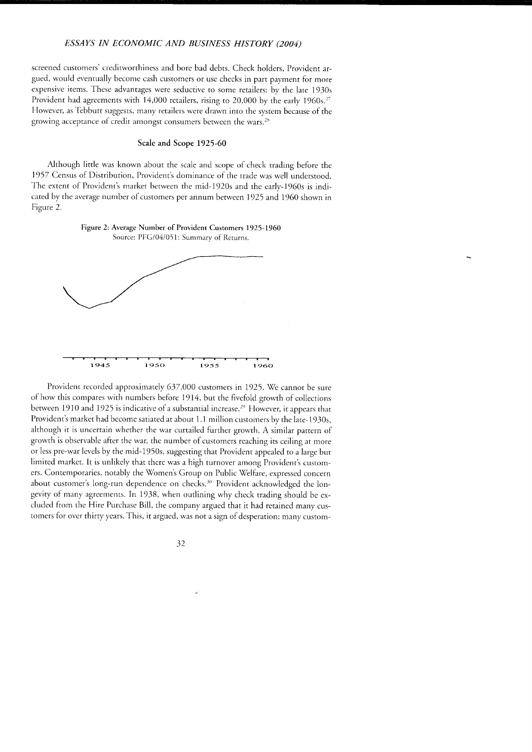screened customers' crediworthiness and bore bad debts. Check holders, Provident argued, would eventually become cash customers or use checks in parr paymenr for more expensive items. These advantages were seductive to some retailers: by the late 1930s Provident had agreements with  $14,000$  retailers, rising to 20,000 by the early 1960s.<sup>27</sup> However, as Tebbutt suggests, many retailers were drawn into the system because of the growing acceptance of credit amongst consumers between the wars.<sup>28</sup>

#### Scale and Scope 1925-60

Although little was known about the scale and scope of check trading before the 1957 Census of Distribution, Provident's dominance of the trade was well understood. The extent of Provident's market between the mid-1920s and the early-1960s is indicated by the average number of customers per annum between 1925 and 1960 shown in Figure 2.

Figure 2: Average Number of Provident Customers 1925-1960 Source: PFG/04/051: Summary of Returns.



Provident recorded approximately 637,000 customers in 1925. We cannot be sure of how this compares with numbers before 1914, but the fivefold growth of collections between 1910 and 1925 is indicative of a substantial increase.<sup>29</sup> However, it appears that Provident's market had become satiated at about 1.1 million customers by the late-1930s, although it is uncertain whether the war curtailed further growth. A similar pattern of growth is observable afier the war, the number of customers reaching its ceiling ar more or less pre-war levels by the mid-1950s, suggesting that Provident appeaied to a large but limited market. It is unlikely that there was a high turnover among Provident's customers. Contemporaries, notably the Vomen's Group on Public Welfare, expressed concern about customer's long-run dependence on checks.<sup>30</sup> Provident acknowledged the longevity of many agreements. In 1938, when outlining why check trading should be excluded from the Hire Purchase Bill, the company argued that it had retained many customers for over thirty years. This, it argued, was not a sign of desperation: many custom-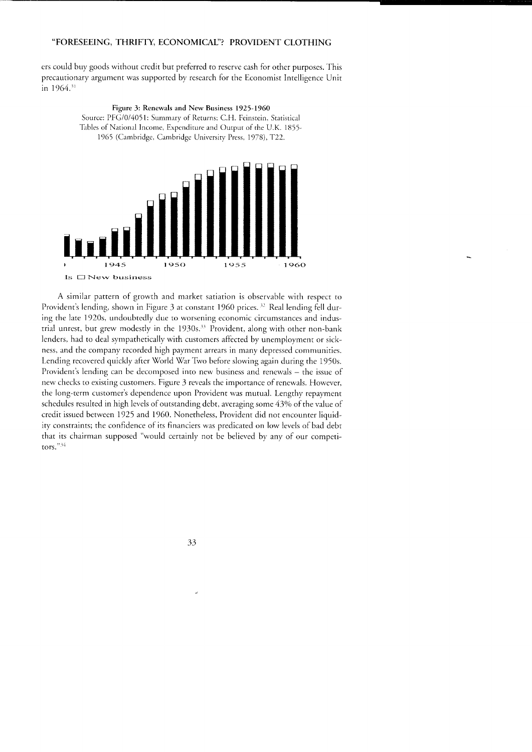ers could buy goods without credit but preferred to reserve cash for other purposes.'fhis precautionary argument was supported by research for the Economist Intelligence Unit in  $1964$ .<sup>31</sup>

> Figure 3: Renewals and New Business 1925-1960 Source: PFG/0/4051: Summary of Returns; C.H. Feinstein, Statistical Tables of National Income, Expenditure and Output of the U.K. 1855-1965 (Cambridge, Cambridge University Press, 1978), T22.



A similar pattern of growth and market satiation is observable with respect to Provident's lending, shown in Figure 3 at constant 1960 prices. <sup>32</sup> Real lending fell during the late 1920s, undoubtedly due to worsening economic circumstances and industrial unrest, but grew modestly in the  $1930s$ .<sup>33</sup> Provident, along with other non-bank lenders, had to deal sympathetically with customers affected by unemployment or sickness, and the company recorded high payment arrears in many depressed communiries. Lending recovered quickly after World War Two before slowing again during the 1950s. Provident's lending can be decomposed into new business and renewals - the issue of new checks to existing customers. Figure 3 reveals the importance of renewals. However, the long-term customer's dependence upon Provident was mutual. Lengthy repaymenr schedules resulted in high levels of outstanding debt, averaging some 43% of the value of credit issued between 1925 and 1960. Nonetheless, Provident did not encounter liquidity constraints; the confidence of its financiers was predicated on low levels of bad debt that its chairman supposed "would certainly not be believed by any of our competitors."<sup>34</sup>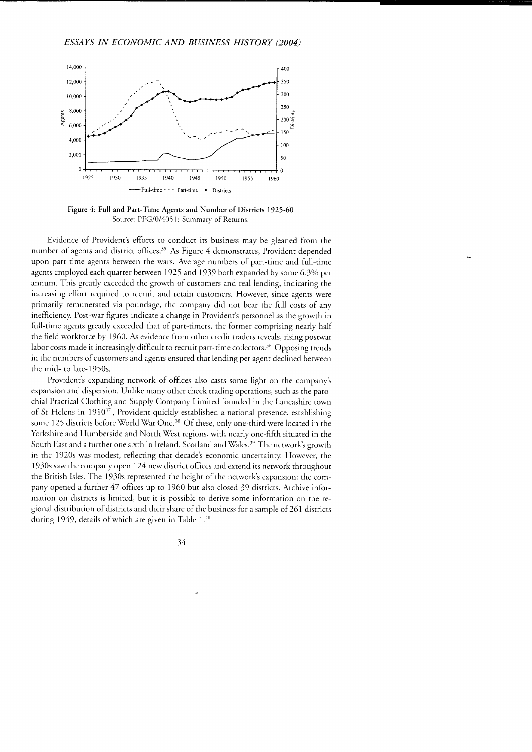

Figure 4: Full and Part-Time Agents and Number of Districts 1925-60 Source: PFG/0/4051: Summary of Returns.

Evidence of Provident's efforts to conduct its business may be gleaned from the number of agents and district offices.<sup>35</sup> As Figure 4 demonstrates, Provident depended upon part-time agents between the wars. Average numbers of part-time and full-time agents employed each quarter between 1925 and 1939 both expanded by some 6.3% per annum. This greatiy exceeded the growth of customers and real lending, indicating the increasing effort required to recruit and retain customers. However, since agents were primarily remunerated via poundage, the company did not bear the full costs of any inefficiency. Post-war figures indicate a change in Provident's personnel as the growth in full-time agents greatly exceeded that of part-timers, the former comprising nearly half the field workforce by 1960. As evidence from other credit traders reveals, rising poswar labor costs made it increasingly difficult to recruit part-time collectors.<sup>36</sup> Opposing trends in the numbers of customers and agents ensured that lending per agent declined between the mid- to late-1950s.

Provident's expanding network of offices also casts some light on rhe company's expansion and dispersion. Unlike many other check trading operations, such as the parochial Practical Clothing and Supply Company Limited founded in the Lancashire town of St Helens in 1910<sup>37</sup>, Provident quickly established a national presence, establishing some 125 districts before World War One.<sup>38</sup> Of these, only one-third were located in the Yorkshire and Humberside and North West regions, with nearly one-fifth situated in the South East and a further one sixth in Ireland, Scotland and Wales.<sup>39</sup> The network's growth in the 1920s was modest, reflecting that decade's economic uncertainty. However, the I 930s saw the company open 724 new district offices and extend its network throughout the British Isles. The 1930s represented the height of the network's expansion: the company opened a further 47 offices up to 1960 but also closed 39 districts. Archive information on districts is limited, but it is possible to derive some information on the regional distribution of districts and their share of the business for a sample of 261 districts during 1949, details of which are given in Table  $1.40$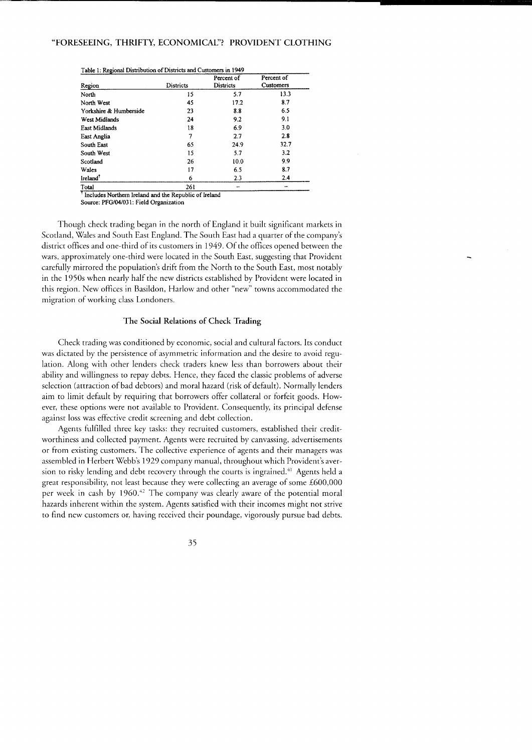|                        | Districts | Percent of<br>Districts | Percent of<br>Customers |
|------------------------|-----------|-------------------------|-------------------------|
| Region                 |           |                         |                         |
| North                  | 15        | 5.7                     | 13.3                    |
| North West             | 45        | 17.2                    | 87                      |
| Yorkshire & Humberside | 23        | 8.8                     | 6.5                     |
| West Midlands          | 24        | 9.2                     | 9.1                     |
| <b>East Midlands</b>   | 18        | 6.9                     | 3.0                     |
| East Anglia            | 7         | 2.7                     | 2.8                     |
| South East             | 65        | 24.9                    | 32.7                    |
| South West             | 15        | 5.7                     | 3.2                     |
| Scotland               | 26        | 10.0                    | 9.9                     |
| Wales                  | 17        | 6.5                     | 8.7                     |
| Ireland <sup>?</sup>   | 6         | 2.3                     | 2.4                     |
| Total                  | 261       |                         |                         |

<sup>T</sup> Includes Northern Ireland and the Republic of Ireland

Source: PFG/04/031: Field Organization

Though check trading began in the north of England it built significant markets in Scotland, Wales and South East England. The South East had a quarter of the company's district offices and one-third of its customers in 1949. Of the offices opened between the wars, approximately one-third were located in the South East, suggesting that Provident carefully mirrored the population's drift from the North to the South East, most notably in the 1950s when nearly half the new districts established by Provident were located in this region. New offices in Basildon, Harlow and other "new" towns accommodated the migration of working class Londoners.

#### The Social Relations of Check Trading

Check trading was conditioned by economic, social and cultural factors. Its conduct was dictated by the persistence of asymmetric information and the desire to avoid regulation. Along with other lenders check traders knew less than borrowers about their ability and willingness to repay debts. Hence, they faced the classic problems of adverse selection (attraction of bad debtors) and moral hazard (risk of default). Normally lenders aim to limit default by requiring that borrowers offer collateral or forfeit goods. However, these options were not available to Provident. Consequently, its principal defense against loss was effective credit screening and debt collection.

Agents fulfilled three key tasks: they recruited customers, established their creditworthiness and collected payment. Agents were recruited by canvassing, advertisements or from existing customers. The collective experience of agents and their managers was assembled in Herbert Webb's 1929 company manual, throughout which Provident's aversion to risky lending and debt recovery through the courts is ingrained.<sup>41</sup> Agents held a great responsibility, not least because they were collecting an average of some £600,000 per week in cash by 1960.<sup>42</sup> The company was clearly aware of the potential moral hazards inherent within the system. Agents satisfied with their incomes might not strive to find new customers or, having received their poundage, vigorously pursue bad debts.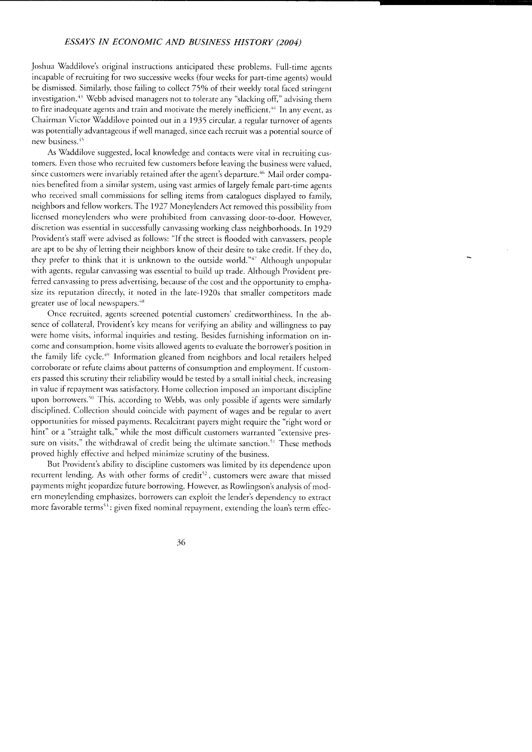Joshua Waddilove's original instructions anticipated these problems. Full-time agents incapable of recruiting for two successive weeks (four weeks for parr-time agents) would be dismissed. Similarly, those failing to collect 75% of their weekly total faced stringent investigation.<sup>43</sup> Webb advised managers not to tolerate any "slacking off," advising them to fire inadequate agents and train and motivate the merely inefficient.<sup>44</sup> In any event, as Chairman Victor Waddilove pointed out in a 1935 circular, a regular turnover of agents was potentially advantageous if well managed, since each recruit was a porenrial source of new business.<sup>45</sup>

As Vaddilove suggested, local knowledge and contacts were vital in recruiting customers. Even those who recruited few customers before leaving the business were valued, since customers were invariably retained after the agent's departure.<sup>46</sup> Mail order companies benefited from a similar system, using vast armies of largely female part-time agents who received small commissions for selling items from catalogues displayed to family, neighbors and fellow workers. The 1927 Moneylenders Act removed this possibility from licensed moneylenders who were prohibited from canvassing door-to-door. However, discretion was essential in successfully canvassing working class neighborhoods. In 1929 Provident's staff were advised as follows: "If the street is flooded with canvassers, people are apt to be shy of letting their neighbors know of their desire to take credit. If they do, they prefer to think that it is unknown to the outside world."1' Although unpopular with agents, regular canvassing was essenrial to build up trade. Although Provident preferred canvassing to press advertising, because of the cost and the opportunity to emphasize its reputation directly, it noted in the late-1920s that smaller competitors made greater use of local newspapers.<sup>48</sup>

Once recruited, agents screened potential customers' creditworthiness. In the absence of collateral, Provident's key means for verifying an ability and willingness to pay were home visits, informal inquiries and testing. Besides furnishing information on income and consumption, home visits allowed agents to evaluate the borrower's position in the family life cycle.<sup>49</sup> Information gleaned from neighbors and local retailers helped corroborate or refute claims about patrerns of consumption and employmenr. If cusromers passed this scrutiny their reliabiliry would be tested by a small initial check, increasing in value if repayment was satisfactory. Home collection imposed an important discipline upon borrowers.<sup>50</sup> This, according to Webb, was only possible if agents were similarly disciplined. Collection should coincide with payment of wages and be regular to avert opportunities for missed payments. Recalcitrant payers might require the "right word or hint" or a "straight talk," while the most diFficult customers warranted "exrensive pressure on visits," the withdrawal of credit being the ultimate sanction.<sup>51</sup> These methods proved highly effective and helped minimize scruriny of the business.

But Provident's ability to discipline customers was limited by its dependence upon recurrent lending. As with other forms of credit<sup>52</sup>, customers were aware that missed payments might jeopardize future borrowing. However, as Rowlingson's analysis of modern moneylending emphasizes, borrowers can exploit the lender's dependency to extract more favorable terms<sup>53</sup>: given fixed nominal repayment, extending the loan's term effec-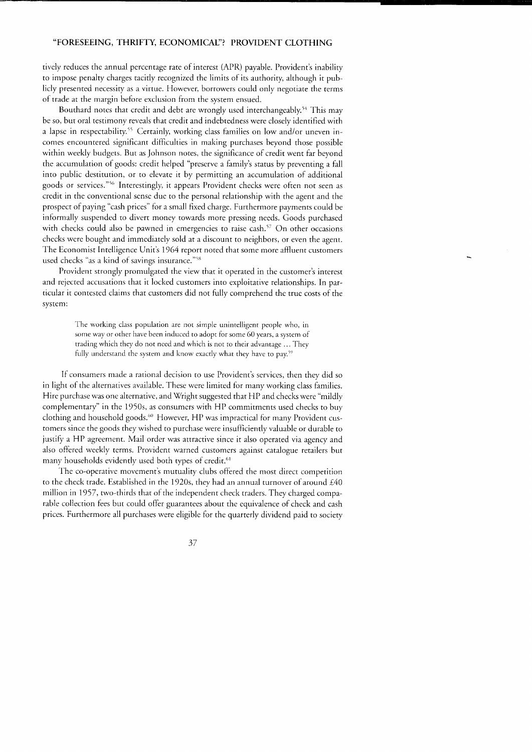tively reduces the annual percentage rate of interest (APR) payable. Provident's inability to impose penalry charges tacitiy recognized the limits of its authority, although it publicly presented necessiry as a virtue. However, borrowers could only negotiate the terms of trade at the margin before exclusion from the system ensued.

Bouthard notes that credit and debt are wrongly used interchangeably.<sup>54</sup> This may be so, but oral testimony reveals that credit and indebtedness were closely identified with a lapse in respectability.<sup>55</sup> Certainly, working class families on low and/or uneven incomes encountered significant difficulties in making purchases beyond those possible within weekly budgets. But as Johnson notes, the significance of credit wenr far beyond the accumulation of goods: credit helped "preserve a family's status by preventing a fall into public destitution, or to elevate it by permitting an accumulation of additional goods or services."s6 Interestingly, it appears Provident checks were ofren not seen as credit in the conventional sense due to the personal relationship with the agent and the prospect of paying "cash prices" for a small fixed charge. Furthermore paymenrs could be informally suspended to divert money towards more pressing needs. Goods purchased with checks could also be pawned in emergencies to raise cash.<sup>57</sup> On other occasions checks were bought and immediately sold at a discount to neighbors, or even the agent. The Economist Intelligence Unit's 1964 report noted that some more affluent customers used checks "as a kind of savings insurance."<sup>58</sup>

Provident strongly promulgated the view that it operated in the customer's interest and rejected accusations that it locked customers into exploitative relationships. In particular it contested claims that customers did not fullv comorehend the true costs of the system:

> The working class population are not simple unintelligent people who, in some way or other have been induced to adopt for some 60 years, a system of trading which they do not need and which is not to their advantage ... They fully understand the system and know exactly what they have to pay.<sup>59</sup>

If consumers made a rational decision to use Provident's services, then they did so in light of the alternatives available. These were limited for many working class families. Hire purchase was one alternative, and \ii/right suggested that HP and checks were "mildly complementary'' in the 1950s, as consumers with HP commitments used checks to buy clothing and household goods.<sup>60</sup> However, HP was impractical for many Provident customers since the goods they wished to purchase were insufficiently valuable or durable to justily a HP agreement. Mail order was attractive since it also operated via agency and also offered weekly terms. Provident warned customers against catalogue retailers but many households evidently used both types of credit.<sup>61</sup>

The co-operative movement's mutuality clubs offered the most direct competition to the check trade. Established in the 1920s, they had an annual turnover of around  $£40$ million in 1957, rwo-thirds that of the independent check traders. They charged comparable collection fees but could offer guarantees about the equivalence of check and cash prices. Furthermore all purchases were eligible for the quarterly dividend paid to society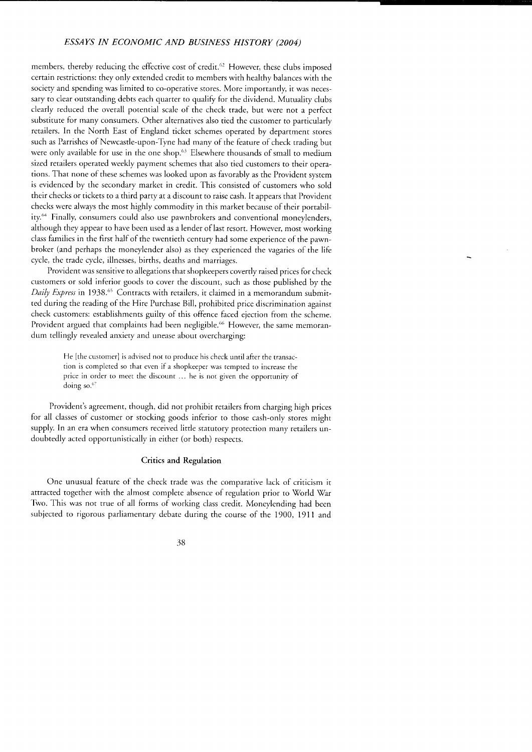members, thereby reducing the effective cost of credit.<sup>62</sup> However, these clubs imposed certain restrictions: they only extended credit to members with healthy balances with the society and spending was limited to co-operative stores. More importanrly, it was necessary to clear outstanding debts each quarter to qualify for the dividend. Mutuality clubs clearly reduced the overall potential scale of the check rrade, but were nor a perfecr substitute for many consumers. Other alternatives also tied the customer to particularly retailers. In the North East of England ticket schemes operated by departmenr srores such as Parrishes of Newcastle-upon-Tyne had many of the feature of check trading but were only available for use in the one shop.<sup>63</sup> Elsewhere thousands of small to medium sized retailers operated weekly payment schemes that also tied customers to rheir operations. That none of these schemes was looked upon as favorably as the Provident system is evidenced by the secondary market in credit. This consisted of cusromers who sold their checks or tickets to a third party at a discount to raise cash. It appears that Provident checks were always the most highly commodiry in this market because of their portability.<sup>64</sup> Finally, consumers could also use pawnbrokers and conventional moneylenders, although they appear to have been used as a lender of last resort. However, most working class families in the first half of the twentieth century had some experience of the pawnbroker (and perhaps the moneylender also) as they experienced the vagaries of the life cycle, the trade cycle, illnesses, births, deaths and marriages.

Provident was sensitive to allegations that shopkeepers covertly raised prices for check customers or sold inferior goods to cover rhe discount, such as those published by the Daily Express in 1938.<sup>65</sup> Contracts with retailers, it claimed in a memorandum submitted during the reading of the Hire Purchase Bill, prohibited price discrimination againsr check customers: establishments guilry of this offence faced ejection from the scheme. Provident argued that complaints had been negligible.<sup>66</sup> However, the same memorandum teliingly revealed anxiety and unease about overcharging:

> He [the customer] is advised not to produce his check until after the transaction is complcted so that even if a shopkeeper was tempted to increase the price in order to meet the discount ... he is not given the opportuniry of doing so.<sup>67</sup>

Provident's agreement, though, did not prohibit retailers from charging high prices for all classes of customer or stocking goods inferior ro rhose cash-only stores might supply. In an era when consumers received little statutory protection many retailers undoubtedly acted opportunistically in either (or both) respecrs.

### Critics and Regulation

One unusual feature of the check trade was the comparative lack of criticism it attracted together with the almost complere absence of reguiation prior to World Var Two. This was not true of all forms of working class credit. Moneylending had been subjected to rigorous parliamentary debate during the course of the 1900, 1911 and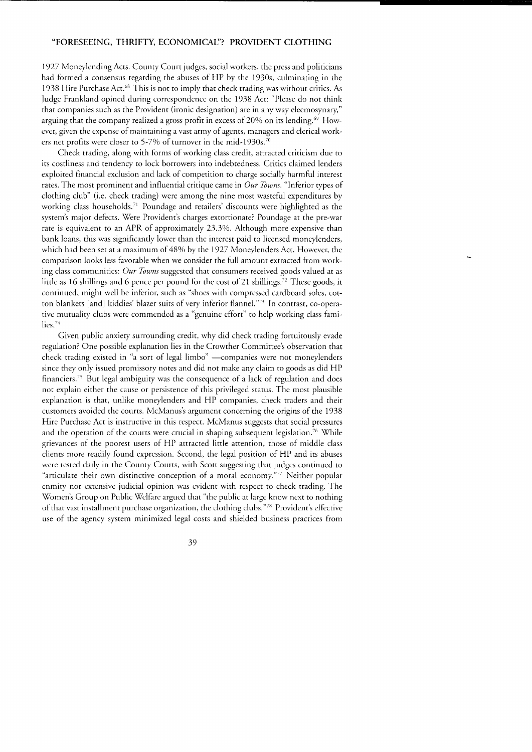1927 Moneylending Acts. County Court judges, social workers, the press and politicians had formed a consensus regarding the abuses of HP by the 1930s, culminating in the 1938 Hire Purchase Act.6B This is not to imply that check trading was without critics. As Judge Frankland opined during correspondence on the 1938 Act: "Please do not think that companies such as the Provident (ironic designation) are in any way eleemosynary," arguing that the company realized a gross profit in excess of 20% on its lending.<sup> $69$ </sup> However, given the expense of maintaining a vast army of agents, managers and clerical workers net profits were closer to 5-7% of turnover in the mid-1930s.<sup>70</sup>

Check trading, along with forms of working class credit, attracted criticism due to its costliness and tendency to lock borrowers into indebtedness. Critics claimed lenders exploited financial exclusion and lack of competition to charge socially harmful interest rates. The most prominent and influential critique came in  $\overline{Our\, Towns}$ . "Inferior types of clothing club" (i.e. check trading) were among the nine most wasteful expenditures by working class households.'1 Poundage and retailers' discounts were highlighted as the system's major defects. Were Provident's charges extortionate? Poundage at the pre-war rate is equivalent to an APR of approximately 23.3%. Although more expensive than bank loans, this was significantly lower than the interest paid to licensed moneylenders, which had been set at a maximum of 48% by the 1927 Moneylenders Act. However, the comparison looks less favorable when we consider the full amount extracted from working class communities: Our Towns suggested that consumers received goods valued at as little as 16 shillings and 6 pence per pound for the cost of 21 shillings.<sup>72</sup> These goods, it continued, might well be inferior, such as "shoes with compressed cardboard soles, cotton blankets [and] kiddies' blazer suits of very inferior flannel."<sup>73</sup> In contrast, co-operative mutuality clubs were commended as a "genuine effort" to help working class families. $74$ 

Given public anxiery surrounding credit, why did check trading fortuitously evade regulation? One possible explanation lies in the Crowther Committee's observation that check trading existed in "a sort of legal limbo" -companies were not moneylenders since they only issued promissory notes and did not make any claim to goods as did HP financiers.<sup>75</sup> But legal ambiguity was the consequence of a lack of regulation and does not explain either the cause or persistence of this privileged status. The most plausible explanation is that, unlike moneylenders and HP companies, check traders and their customers avoided the courts. McManus's argument concerning the origins of the 1938 Hire Purchase Act is instructive in this respect. McManus suggests that social pressures and the operation of the courts were crucial in shaping subsequent legislation.<sup>76</sup> While grievances of the poorest users of HP attracted little attention, those of middle class clients more readily found expression. Second, the legal position of HP and its abuses were tested daily in the County Courts, with Scott suggesting that judges continued to "articulate their own distinctive conception of a moral economy."<sup>77</sup> Neither popular enmity nor extensive judicial opinion was evident with respect to check trading. The Women's Group on Public Welfare argued that "the public at large know next to nothing of that vast installment purchase organization, the clothing clubs."'8 Provident's effective use of the agency system minimized legal costs and shielded business practices from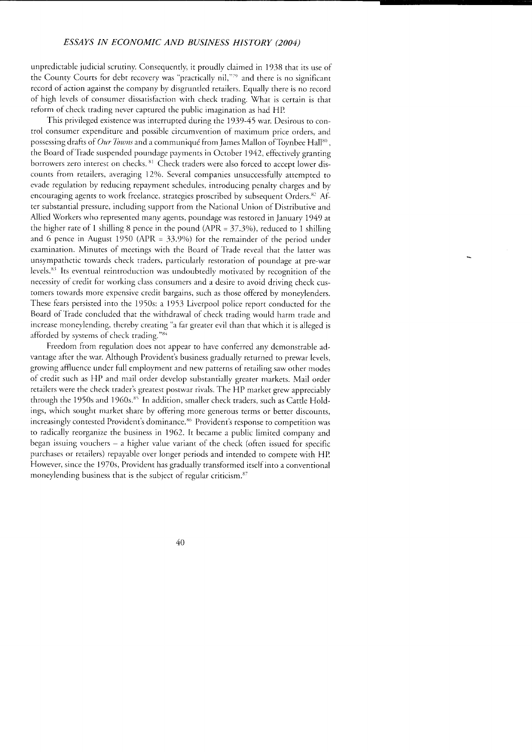unpredictable judicial scrutiny. Consequently, it proudly claimed in 1938 that its use of the County Courts for debt recovery was "practically nil,"79 and there is no significant record of action against the company by disgruntled retailers. Equally there is no record of high levels of consumer dissatisfaction with check trading. What is certain is that reform of check trading never captured the public imagination as had HP

This privileged existence was interrupted during the 1939-45 war. Desirous ro control consumer expenditure and possible circumvention of maximum price orders, and possessing drafts of Our Towns and a communiqué from James Mallon of Toynbee Hall<sup>80</sup>, the Board ofTiade suspended poundage payments in October 1942, effectiveiv granting borrowers zero interest on checks. <sup>81</sup> Check traders were also forced to accept lower discounts from retailers, averaging 12%. Several companies unsuccessfully attempted to evade regulation by reducing repaymenr schedules, introducing penalry charges and by encouraging agents to work freelance, strategies proscribed by subsequent Orders.<sup>82</sup> After substantial pressure, including support from the National Union of Distributive and Allied Workers who represented many agenrs, poundage was resrored in January 1949 at the higher rate of 1 shilling 8 pence in the pound (APR =  $37.3\%$ ), reduced to 1 shilling and 6 pence in August 1950 (APR =  $33.9\%$ ) for the remainder of the period under examination. Minutes of meetings with the Board of Trade reveal that the latter was unsympathetic towards check traders, particularly restoration of poundage at pre-war levels. $83$  Its eventual reintroduction was undoubtedly motivated by recognition of the necessiry of credit for working class consumers and a desire to avoid driving check customers towards more expensive credit bargains, such as those offered by moneylenders. These fears persisted into the 1950s: a 1953 Liverpool police report conducted for the Board of Tiade concluded that the withdrawal of check trading would harm trade and increase moneylending, thereby creating "a far greater evil than that which it is alleged is afforded by systems of check trading."84

Freedom from regulation does not appear to have conferred any demonstrable advantage after the war. Although Provident's business gradually returned to prewar levels, growing affluence under full employment and new patterns of retailing saw orher modes of credit such as HP and mail order develop substantially greater markets. Mail order retailers were the check trader's greatest postwar rivals. The HP market grew appreciably through the 1950s and 1960s.<sup>85</sup> In addition, smaller check traders, such as Cattle Holdings, which sought market share by offering more generous terms or better discounts, increasingly contested Provident's dominance.<sup>86</sup> Provident's response to competition was to radically reorganize the business in 1962. It became a public limited company and began issuing vouchers - a higher value variant of the check (often issued for specific purchases or retailers) repayable over longer periods and intended to compete with HP. However, since the 1970s, Provident has gradually transformed itself into a conventional moneylending business that is the subject of regular criticism.<sup>87</sup>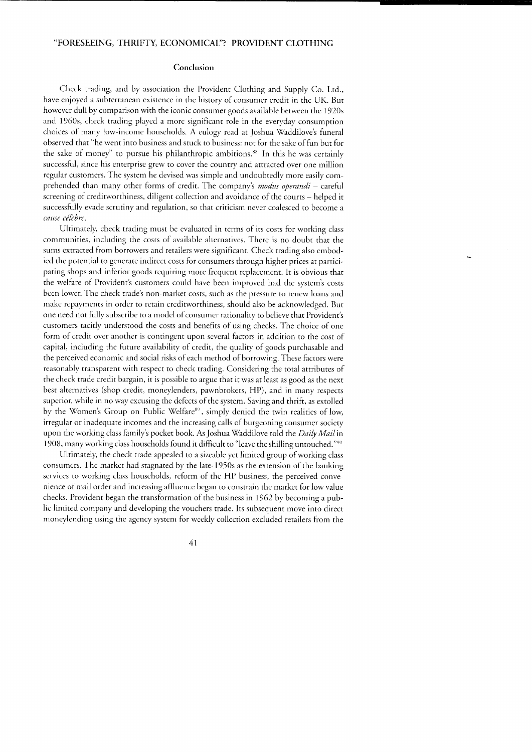#### Conclusion

Check trading, and by association the Provident Clothing and Supply Co. Ltd., have enjoyed a subterranean existence in the history of consumer credit in the UK. But however dull by comparison with the iconic consumer goods available between the 1920s and 1960s, check trading played a more significant role in the everyday consumprion choices of many low-income households. A eulogy read at Joshua Waddilove's funeral observed that "he went into business and stuck to business: not for the sake of fun but for the sake of money" to pursue his philanthropic ambitions.<sup>88</sup> In this he was certainly successful, since his enterprise grew to cover the country and attracted over one million regular customers. The system he devised was simple and undoubtedly more easily comprehended than many other forms of credit. The company's *modus operandi* – careful screening of creditworthiness, diligent collection and avoidance of the courts - helped it successfully evade scrutiny and regulation, so that criticism never coalesced to become a cause célèbre.

Ultimately, check trading must be evaluated in terms of its costs for working class communities, including the costs of available alternatives. There is no doubt that the sums cxtracted from borrowers and retailers were significant. Check trading also embodied the potential to generate indirect costs for consumers through higher prices at parricipating shops and inferior goods requiring more frequent replacement. It is obvious that the welfare of Provident's customers could have been improved had the system's costs been lower. The check trade's non-market costs, such as the pressure to renew loans and make repayments in order to retain creditworthiness, should also be acknowledged. But one need not fully subscribe to a model of consumer rationality to believe that Provident's customers tacitly understood the costs and benefits of using checks. The choice of one form of credit over another is contingent upon several factors in addition to the cost of capital, including the furure availability of credit, the quality of goods purchasable and the perceived economic and social risks of each method of borrowing. These factors were reasonably transparent with respect to check trading. Considering the total attributes of the check trade credit bargain, it is possible to argue that it was at least as good as the next best alternatives (shop credit, moneylenders, pawnbrokers, HP), and in many respecrs superior, while in no way excusing the defects of the system. Saving and thrift, as extolled by the Women's Group on Public Welfare<sup>89</sup>, simply denied the twin realities of low, irregular or inadequate incomes and the increasing calls of burgeoning consumer sociery upon the working class family's pocket book. As Joshua Waddilove told the Daily Mail in 1908, many working class households found it difficult to "leave the shilling untouched."<sup>90</sup>

Ulrimately, the check trade appealed to a sizeable yet iimited group of working class consumers. The market had stagnated by the late-1950s as the extension of the banking services to working class households, reform of the HP business, the perceived convenience of mail order and increasing affluence began to constrain the market for low value checks. Provident began the transformation of the business in 1962 by becoming a public limited company and developing the vouchers trade. Its subsequent move into direct moneylending using the agency system for weekly collection excluded retailers from the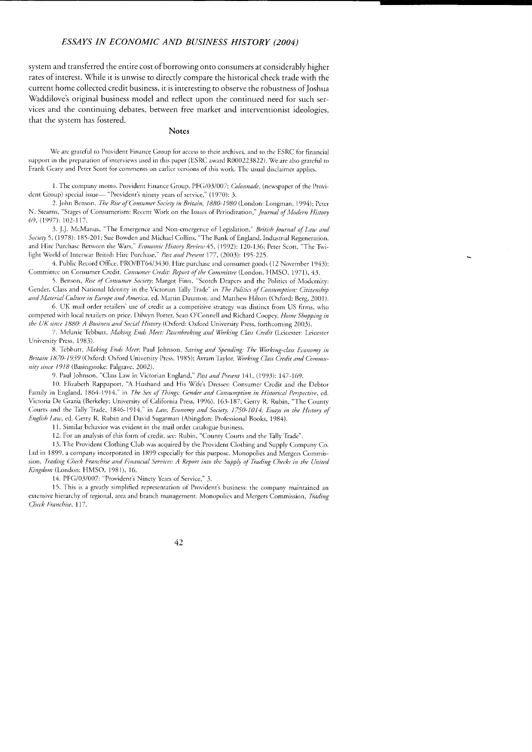system and transferred the entire cost of borrowing onto consumers at considerably higher rates of interest. While it is unwise to directly compare the historical check trade with the current home collected credit business, it is interesting to observe the robustness of loshua Waddilove's original business model and reflect upon the continued need for such services and the continuing debates, between free market and interventionist ideologies, that the system has fostered.

### **Notes**

We are grateful to Provident Finance Group for access to their archives, and to the ESRC for financial support in the preparation of interviews used in this paper (ESRC award R000223822). We are also grateful to Frank Geary and Peter Scott for comments on earlier versions of this work. The usual disclaimer applies.

1. The company motto. Provident Finance Group, PFG/03/007: Colonnade, (newspaper of the Provident Group) special issue— "Provident's ninety years of service," (1970): 3.

2. John Benson, The Rise of Consumer Society in Britain, 1880-1980 (London: Longman, 1994); Peter N. Stearns, "Stages of Consumerism: Recent Work on the Issues of Periodization," Journal of Modern History 69, (1997): 102-117.

3. J.J. McManus, "The Emergence and Non-emergence of Legislation," British Journal of Law and Society 5, (1978): 185-201; Sue Bowden and Michael Collins, "The Bank of England, Industrial Regeneration, and Hire Purchase Between the Wars," Economic History Review 45, (1992): 120-136; Peter Scott, "The Twilight World of Interwar British Hire Purchase," Past and Present 177, (2003): 195-225.

4. Public Record Office, PRO/BT64/3430, Hire purchase and consumer goods (12 November 1943); Committee on Consumer Credit, Consumer Credit: Report of the Committee (London, HMSO, 1971), 43.

5. Benson, Rise of Consumer Society; Margot Finn, "Scotch Drapers and the Politics of Modernity: Gender, Class and National Identity in the Victorian Tally Trade" in The Politics of Consumption: Citizenship and Material Culture in Europe and America, ed. Martin Daunton, and Matthew Hilton (Oxford: Berg, 2001).

6. UK mail order retailers' use of credit as a competitive strategy was distinct from US firms, who competed with local retailers on price. Dilwyn Porter, Sean O'Connell and Richard Coopey, Home Shopping in the UK since 1880: A Business and Social History (Oxford: Oxford University Press, forthcoming 2003).

7. Melanie Tebbutt, Making Ends Meet: Pawnbroking and Working Class Credit (Lcicester: Leicester University Press, 1983).

8. Tebbutt, Making Ends Meet, Paul Johnson, Saving and Spending: The Working-class Economy in Britain 1870-1939 (Oxford: Oxford University Press, 1985); Avram Taylor, Working Class Credit and Community since 1918 (Basingstoke: Palgrave, 2002).

9. Paul Johnson, "Class Law in Victorian England," Past and Present 141, (1993): 147-169.

10. Elizabeth Rappaport, "A Husband and His Wife's Dresses: Consumer Credit and the Debtor Family in England, 1864-1914," in The Sex of Things: Gender and Consumption in Historical Perspective, ed. Victoria De Grazia (Berkeley: University of California Press, 1996), 163-187; Gerry R. Rubin, "The County Courts and the Tally Trade, 1846-1914," in Law, Economy and Society, 1750-1014. Essays in the History of English Law, ed. Gerry R. Rubin and David Sugarman (Abingdon: Professional Books, 1984).

11. Similar behavior was evident in the mail order catalogue business.

12. For an analysis of this form of credit, see: Rubin, "County Courts and the Tally Trade".

13. The Provident Clothing Club was acquired by the Provident Clothing and Supply Company Co. Ltd in 1899, a company incorporated in 1899 especially for this purpose. Monopolies and Mergers Commission, Trading Check Franchise and Financial Services: A Report into the Supply of Trading Checks in the United Kingdom (London: HMSO, 1981), 16.

14. PFG/03/007: "Provident's Ninety Years of Service," 3.

15. This is a greatly simplified representation of Provident's business: the company maintained an extensive hierarchy of regional, area and branch management. Monopolics and Mergers Commission, Trading Check Franchise, 117.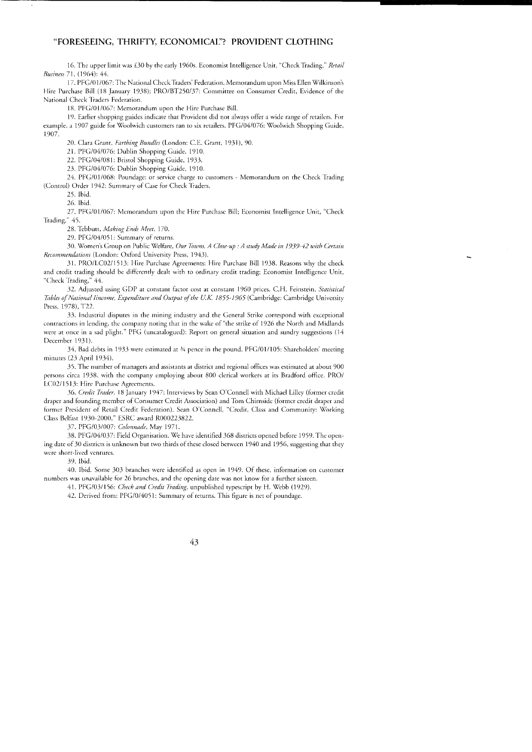16. The upper limit was £30 by the early 1960s. Economist Intelligence Unit, "Check Trading," Retail Business 71, (1964): 44.

17. PFG/01/067: The National Check Traders' Federation. Memorandum upon Miss Ellen Wilkinson's Hire Purchase Bill (18 January 1938); PRO/BT250/37: Committee on Consumer Credit, Evidence of the National Check Traders Federation.

18. PFG/01/067: Memorandum upon the Hire Purchase Bill.

19. Earlier shopping guides indicate that Provident did not always offer a wide range of retailers. For example, a 1907 guide for Woolwich customers ran to six retailers. PFG/04/076: Woolwich Shopping Guide,  $1907.$ 

20. Clara Grant, Farthing Bundles (London: C.E. Grant, 1931), 90.

21. PFG/04/076: Dublin Shopping Guide, 1910.

22. PFG/04/081: Bristol Shopping Guide, 1933.

23. PFG/04/076: Dublin Shopping Guide, 1910.

24. PFG/01/068: Poundage: or service charge to customers - Memorandum on the Check Trading (Control) Order 1942: Summary of Case for Check Traders.

25 Ibid

26. Ibid.

27. PFG/01/067: Memorandum upon the Hire Purchase Bill; Economist Intelligence Unit, "Check Trading," 45.

28. Tebbutt, Making Ends Meet, 170.

29. PFG/04/051: Summary of returns.

30. Women's Group on Public Welfare, Our Towns, A Close-up : A study Made in 1939-42 with Certain Recommendations (London: Oxford University Press, 1943).

31. PRO/LC02/1513: Hire Purchase Agreements: Hire Purchase Bill 1938. Reasons why the check and credit trading should be differently dealt with to ordinary credit trading; Economist Intelligence Unit, "Check Trading," 44.

32. Adjusted using GDP at constant factor cost at constant 1960 prices. C.H. Feinstein, Statistical Tables of National lincome, Expenditure and Output of the U.K. 1855-1965 (Cambridge: Cambridge University Press, 1978), T22.

33. Industrial disputes in the mining industry and the General Strike correspond with exceptional contractions in lending, the company noting that in the wake of "the strike of 1926 the North and Midlands were at once in a sad plight." PFG (uncatalogued): Report on general situation and sundry suggestions (14 December 1931).

34. Bad debts in 1933 were estimated at 34 pence in the pound. PFG/01/105: Shareholders' meeting minutes (23 April 1934).

35. The number of managers and assistants at district and regional offices was estimated at about 900 persons circa 1938, with the company employing about 800 clerical workers at its Bradford office. PRO/ LC02/1513: Hire Purchase Agreements.

36. Credit Trader, 18 January 1947; Interviews by Sean O'Connell with Michael Lilley (former credit draper and founding member of Consumer Credit Association) and Tom Chirnside (former credit draper and former President of Retail Credit Federation). Sean O'Connell, "Credit, Class and Community: Working Class Belfast 1930-2000," ESRC award R000223822.

37. PFG/03/007: Colonnade, May 1971.

38. PFG/04/037: Field Organisation. We have identified 368 districts opened before 1959. The opening date of 30 districts is unknown but two thirds of these closed between 1940 and 1956, suggesting that they were short-lived ventures.

39. Ibid.

40. Ibid. Some 303 branches were identified as open in 1949. Of these, information on customer numbers was unavailable for 26 branches, and the opening date was not know for a further sixteen.

41. PFG/03/156: Check and Credit Trading, unpublished typescript by H. Webb (1929).

42. Derived from: PFG/0/4051: Summary of returns. This figure is net of poundage.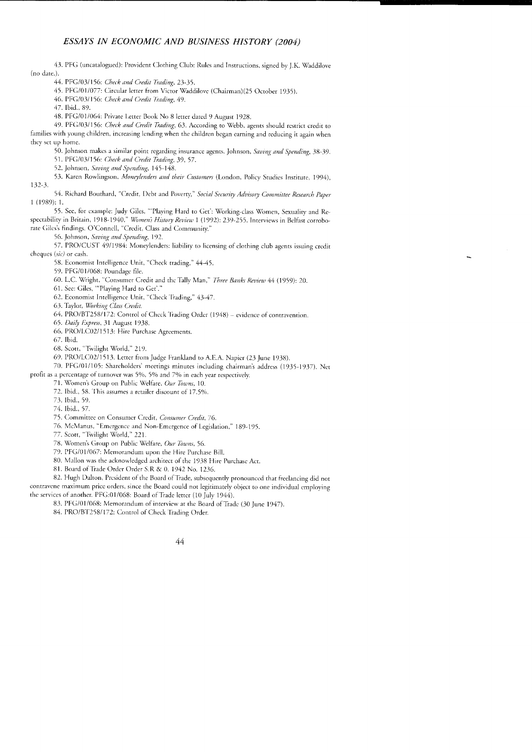43. PFG (uncatalogued): Provident Clothing Club: Rules and Instructions, signed by J.K. Waddilove (no date.).

44. PFG/03/156: Check and Credit Trading, 23-35.

45. PFG/01/077: Circular letter from Victor Waddilove (Chairman)(25 October 1935).

46. PFG/03/156: Check and Credit Trading, 49.

47. Ibid., 89

48. PFG/01/064: Private Letter Book No 8 letter dated 9 August 1928.

49. PFG/03/156: Check and Credit Trading, 63. According to Webb, agents should restrict credit to families with young children, increasing lending when the children began earning and reducing it again when they set up home.

50. Johnson makes a similar point regarding insurance agents. Johnson, Saving and Spending, 38-39.

51. PFG/03/156: Check and Credit Trading, 39, 57.

52. Johnson, Saving and Spending, 145-148.

53. Karen Rowlingson, Moneylenders and their Customers (London, Policy Studies Institute, 1994),  $132-3.$ 

54. Richard Bouthard, "Credit, Debt and Poverty," Social Security Advisory Committee Research Paper  $1(1989):1.$ 

55. See, for example: Judy Giles, "Playing Hard to Get': Working-class Women, Sexuality and Respectability in Britain, 1918-1940," Women's History Review 1 (1992): 239-255. Interviews in Belfast corroborate Giles's findings. O'Connell, "Credit, Class and Community."

56. Johnson, Saving and Spending, 192.

57. PRO/CUST 49/1984: Moneylenders: liability to licensing of clothing club agents issuing credit cheques (sic) or cash.

58. Economist Intelligence Unit, "Check trading," 44-45.

59. PFG/01/068: Poundage file.

60. L.C. Wright, "Consumer Credit and the Tally Man," Three Banks Review 44 (1959): 20.

61. See: Giles, "Playing Hard to Get'.'

62. Economist Intelligence Unit, "Check Trading," 43-47.

63. Taylor, Working Class Credit.

64. PRO/BT258/172: Control of Check Trading Order (1948) - evidence of contravention.

65. Daily Express, 31 August 1938.

66. PRO/LC02/1513: Hire Purchase Agreements.

67. Ibid.

68. Scott, "Twilight World," 219.

69. PRO/LC02/1513. Letter from Judge Frankland to A.E.A. Napicr (23 June 1938).

70. PFG/01/105: Shareholders' meetings minutes including chairman's address (1935-1937). Net profit as a percentage of turnover was 5%, 5% and 7% in each year respectively.

71. Women's Group on Public Welfare, Our Towns, 10.

72. Ibid., 58. This assumes a retailer discount of 17.5%.

73 Ihid 59

74. Ibid., 57.

75. Committee on Consumer Credit, Consumer Credit, 76.

76. McManus, "Emergence and Non-Emergence of Legislation," 189-195.

77. Scott, "Twilight World," 221.

78. Women's Group on Public Welfare, Our Towns, 56.

79. PFG/01/067: Memorandum upon the Hire Purchase Bill.

80. Mallon was the acknowledged architect of the 1938 Hire Purchase Act.

81. Board of Trade Order Order S.R & 0. 1942 No. 1236.

82. Hugh Dalton, President of the Board of Trade, subsequently pronounced that freelancing did not contravene maximum price orders, since the Board could not legitimately object to one individual employing the services of another. PFG:01/068: Board of Trade letter (10 July 1944).

83. PFG/01/068: Memorandum of interview at the Board of Trade (30 June 1947).

84. PRO/BT258/172: Control of Check Trading Order.